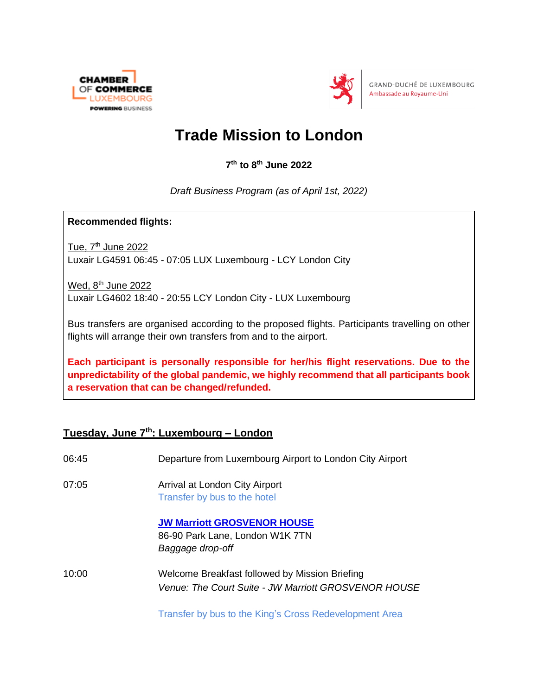



GRAND-DUCHÉ DE LUXEMBOURG Ambassade au Royaume-Uni

## **Trade Mission to London**

**7 th to 8 th June 2022**

*Draft Business Program (as of April 1st, 2022)*

**Recommended flights:** 

Tue,  $7<sup>th</sup>$  June 2022 Luxair LG4591 06:45 - 07:05 LUX Luxembourg - LCY London City

Wed,  $8<sup>th</sup>$  June 2022 Luxair LG4602 18:40 - 20:55 LCY London City - LUX Luxembourg

Bus transfers are organised according to the proposed flights. Participants travelling on other flights will arrange their own transfers from and to the airport.

**Each participant is personally responsible for her/his flight reservations. Due to the unpredictability of the global pandemic, we highly recommend that all participants book a reservation that can be changed/refunded.**

## **Tuesday, June 7 th: Luxembourg – London**

| 06:45 | Departure from Luxembourg Airport to London City Airport                                               |
|-------|--------------------------------------------------------------------------------------------------------|
| 07:05 | Arrival at London City Airport<br>Transfer by bus to the hotel                                         |
|       | <b>JW Marriott GROSVENOR HOUSE</b><br>86-90 Park Lane, London W1K 7TN<br>Baggage drop-off              |
| 10:00 | Welcome Breakfast followed by Mission Briefing<br>Venue: The Court Suite - JW Marriott GROSVENOR HOUSE |

Transfer by bus to the King's Cross Redevelopment Area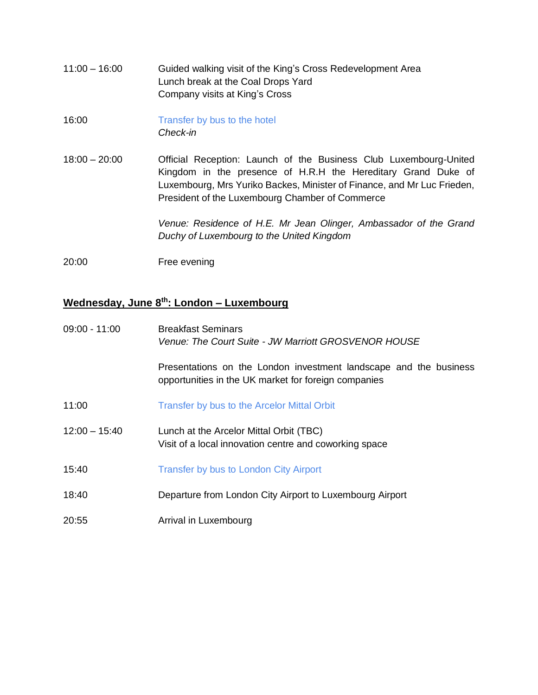- 11:00 16:00 Guided walking visit of the King's Cross Redevelopment Area Lunch break at the Coal Drops Yard Company visits at King's Cross
- 16:00 Transfer by bus to the hotel *Check-in*
- 18:00 20:00 Official Reception: Launch of the Business Club Luxembourg-United Kingdom in the presence of H.R.H the Hereditary Grand Duke of Luxembourg, Mrs Yuriko Backes, Minister of Finance, and Mr Luc Frieden, President of the Luxembourg Chamber of Commerce

*Venue: Residence of H.E. Mr Jean Olinger, Ambassador of the Grand Duchy of Luxembourg to the United Kingdom*

20:00 Free evening

## **Wednesday, June 8 th: London – Luxembourg**

| 09:00 - 11:00   | <b>Breakfast Seminars</b><br>Venue: The Court Suite - JW Marriott GROSVENOR HOUSE                                         |
|-----------------|---------------------------------------------------------------------------------------------------------------------------|
|                 | Presentations on the London investment landscape and the business<br>opportunities in the UK market for foreign companies |
| 11:00           | Transfer by bus to the Arcelor Mittal Orbit                                                                               |
| $12:00 - 15:40$ | Lunch at the Arcelor Mittal Orbit (TBC)<br>Visit of a local innovation centre and coworking space                         |
| 15:40           | Transfer by bus to London City Airport                                                                                    |
| 18:40           | Departure from London City Airport to Luxembourg Airport                                                                  |
| 20:55           | Arrival in Luxembourg                                                                                                     |